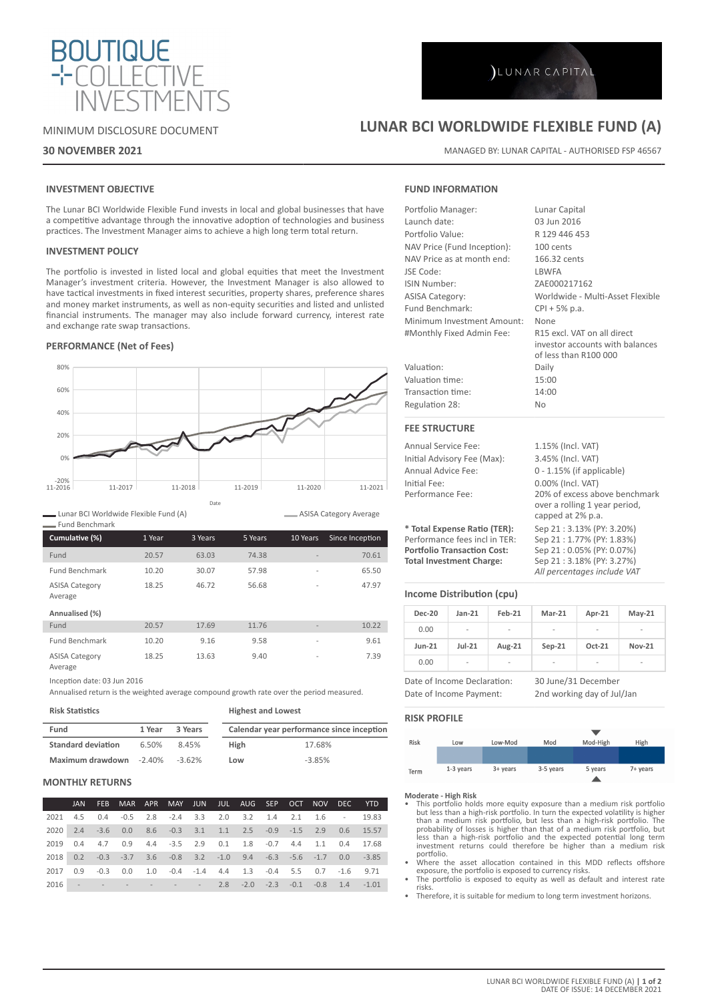

## MINIMUM DISCLOSURE DOCUMENT

## **30 NOVEMBER 2021**

# LUNAR CAPITAL

## **LUNAR BCI WORLDWIDE FLEXIBLE FUND (A)**

MANAGED BY: LUNAR CAPITAL - AUTHORISED FSP 46567

## **INVESTMENT OBJECTIVE**

The Lunar BCI Worldwide Flexible Fund invests in local and global businesses that have a competitive advantage through the innovative adoption of technologies and business practices. The Investment Manager aims to achieve a high long term total return.

## **INVESTMENT POLICY**

The portfolio is invested in listed local and global equities that meet the Investment Manager's investment criteria. However, the Investment Manager is also allowed to have tactical investments in fixed interest securities, property shares, preference shares and money market instruments, as well as non-equity securities and listed and unlisted financial instruments. The manager may also include forward currency, interest rate and exchange rate swap transactions.

## **PERFORMANCE (Net of Fees)**



Lunar BCI Worldwide Flexible Fund (A)

| - Fund Benchmark                                   |        |         |         |                          |                 |
|----------------------------------------------------|--------|---------|---------|--------------------------|-----------------|
| Cumulative (%)                                     | 1 Year | 3 Years | 5 Years | 10 Years                 | Since Inception |
| Fund                                               | 20.57  | 63.03   | 74.38   |                          | 70.61           |
| <b>Fund Benchmark</b>                              | 10.20  | 30.07   | 57.98   | $\overline{\phantom{a}}$ | 65.50           |
| <b>ASISA Category</b><br>Average<br>Annualised (%) | 18.25  | 46.72   | 56.68   | $\overline{\phantom{a}}$ | 47.97           |
| Fund                                               | 20.57  | 17.69   | 11.76   |                          | 10.22           |
| <b>Fund Benchmark</b>                              | 10.20  | 9.16    | 9.58    | $\overline{\phantom{a}}$ | 9.61            |
| <b>ASISA Category</b><br>Average                   | 18.25  | 13.63   | 9.40    | $\overline{\phantom{a}}$ | 7.39            |

Inception date: 03 Jun 2016

Annualised return is the weighted average compound growth rate over the period measured.

**Risk Statistics**

**Highest and Lowest**

| Fund                      | 1 Year | 3 Years   |             | Calendar year performance since inception |
|---------------------------|--------|-----------|-------------|-------------------------------------------|
| <b>Standard deviation</b> | 6.50%  | 8.45%     | <b>High</b> | 17.68%                                    |
| Maximum drawdown -2.40%   |        | $-3.62\%$ | Low         | $-3.85%$                                  |
|                           |        |           |             |                                           |

## **MONTHLY RETURNS**

|      | JAN 1 | <b>FEB</b> |                                                                                        |  |  |                                         |  |  | MAR APR MAY JUN JUL AUG SEP OCT NOV DEC YTD |
|------|-------|------------|----------------------------------------------------------------------------------------|--|--|-----------------------------------------|--|--|---------------------------------------------|
| 2021 |       |            | 4.5 0.4 -0.5 2.8 -2.4 3.3 2.0 3.2 1.4 2.1 1.6 - 19.83                                  |  |  |                                         |  |  |                                             |
| 2020 |       |            | 2.4 -3.6 0.0 8.6 -0.3 3.1 1.1 2.5 -0.9 -1.5 2.9 0.6 15.57                              |  |  |                                         |  |  |                                             |
| 2019 |       |            | 0.4 4.7 0.9 4.4 -3.5 2.9 0.1 1.8 -0.7 4.4 1.1 0.4 17.68                                |  |  |                                         |  |  |                                             |
| 2018 |       |            | $0.2$ $-0.3$ $-3.7$ $3.6$ $-0.8$ $3.2$ $-1.0$ $9.4$ $-6.3$ $-5.6$ $-1.7$ $0.0$ $-3.85$ |  |  |                                         |  |  |                                             |
| 2017 |       |            | $0.9$ $-0.3$ $0.0$ $1.0$ $-0.4$ $-1.4$ $4.4$ $1.3$ $-0.4$ $5.5$ $0.7$ $-1.6$ $9.71$    |  |  |                                         |  |  |                                             |
| 2016 |       |            |                                                                                        |  |  | $  -$ 2.8 -2.0 -2.3 -0.1 -0.8 1.4 -1.01 |  |  |                                             |

## **FUND INFORMATION**

| Portfolio Manager:          | Lunar Capital                                                                           |
|-----------------------------|-----------------------------------------------------------------------------------------|
| Launch date:                | 03 Jun 2016                                                                             |
| Portfolio Value:            | R 129 446 453                                                                           |
| NAV Price (Fund Inception): | 100 cents                                                                               |
| NAV Price as at month end:  | 166.32 cents                                                                            |
| JSE Code:                   | <b>LBWFA</b>                                                                            |
| ISIN Number:                | ZAE000217162                                                                            |
| <b>ASISA Category:</b>      | Worldwide - Multi-Asset Flexible                                                        |
| Fund Benchmark:             | $CPI + 5% p.a.$                                                                         |
| Minimum Investment Amount:  | <b>None</b>                                                                             |
| #Monthly Fixed Admin Fee:   | R15 excl. VAT on all direct<br>investor accounts with balances<br>of less than R100 000 |
| Valuation:                  | Daily                                                                                   |
| Valuation time:             | 15:00                                                                                   |
| Transaction time:           | 14:00                                                                                   |
| Regulation 28:              | <b>No</b>                                                                               |
| <b>FEE STRUCTURE</b>        |                                                                                         |
| <b>Annual Service Fee:</b>  | 1.15% (Incl. VAT)                                                                       |
| Initial Advisory Fee (Max): | 3.45% (Incl. VAT)                                                                       |
|                             |                                                                                         |

| AIIIUGI JEI VIUE I EE.             | $\perp$ . $\perp$ $\cup$ $\vee$ $\cup$ $\parallel$ $\parallel$ $\perp$ $\parallel$ $\perp$ $\parallel$ $\perp$ $\perp$ $\perp$ |
|------------------------------------|--------------------------------------------------------------------------------------------------------------------------------|
| Initial Advisory Fee (Max):        | 3.45% (Incl. VAT)                                                                                                              |
| Annual Advice Fee:                 | $0 - 1.15\%$ (if applicable)                                                                                                   |
| Initial Fee:                       | 0.00% (Incl. VAT)                                                                                                              |
| Performance Fee:                   | 20% of excess above benchmark                                                                                                  |
|                                    | over a rolling 1 year period,                                                                                                  |
|                                    | capped at 2% p.a.                                                                                                              |
| * Total Expense Ratio (TER):       | Sep 21:3.13% (PY: 3.20%)                                                                                                       |
| Performance fees incl in TER:      | Sep 21:1.77% (PY: 1.83%)                                                                                                       |
| <b>Portfolio Transaction Cost:</b> | Sep 21:0.05% (PY: 0.07%)                                                                                                       |
| <b>Total Investment Charge:</b>    | Sep 21:3.18% (PY: 3.27%)                                                                                                       |
|                                    | All percentages include VAT                                                                                                    |

## **Income Distribution (cpu)**

| <b>Dec-20</b>                                          | $Jan-21$ | $Feb-21$ | $Mar-21$                                          | Apr-21   | $May-21$      |
|--------------------------------------------------------|----------|----------|---------------------------------------------------|----------|---------------|
| 0.00                                                   |          |          |                                                   |          |               |
| $Jun-21$                                               | $Jul-21$ | Aug-21   | $Sep-21$                                          | $Oct-21$ | <b>Nov-21</b> |
| 0.00                                                   | -        |          |                                                   |          |               |
| Date of Income Declaration:<br>Date of Income Payment: |          |          | 30 June/31 December<br>2nd working day of Jul/Jan |          |               |

### **RISK PROFILE**

| Risk | Low       | Low-Mod    | Mod       | Mod-High | High     |
|------|-----------|------------|-----------|----------|----------|
|      |           |            |           |          |          |
|      |           |            |           |          |          |
| Term | 1-3 years | $3+$ years | 3-5 years | 5 years  | 7+ years |
|      |           |            |           |          |          |

#### **Moderate - High Risk**

- This portfolio holds more equity exposure than a medium risk portfolio<br>but less than a high-risk portfolio. In turn the expected volatility is higher<br>than a medium risk portfolio, but less than a high-risk portfolio. The less than a high-risk portfolio and the expected potential long term investment returns could therefore be higher than a medium risk portfolio.
- Where the asset allocation contained in this MDD reflects offshore exposure, the portfolio is exposed to currency risks. • The portfolio is exposed to equity as well as default and interest rate
- risks.
- Therefore, it is suitable for medium to long term investment horizons.